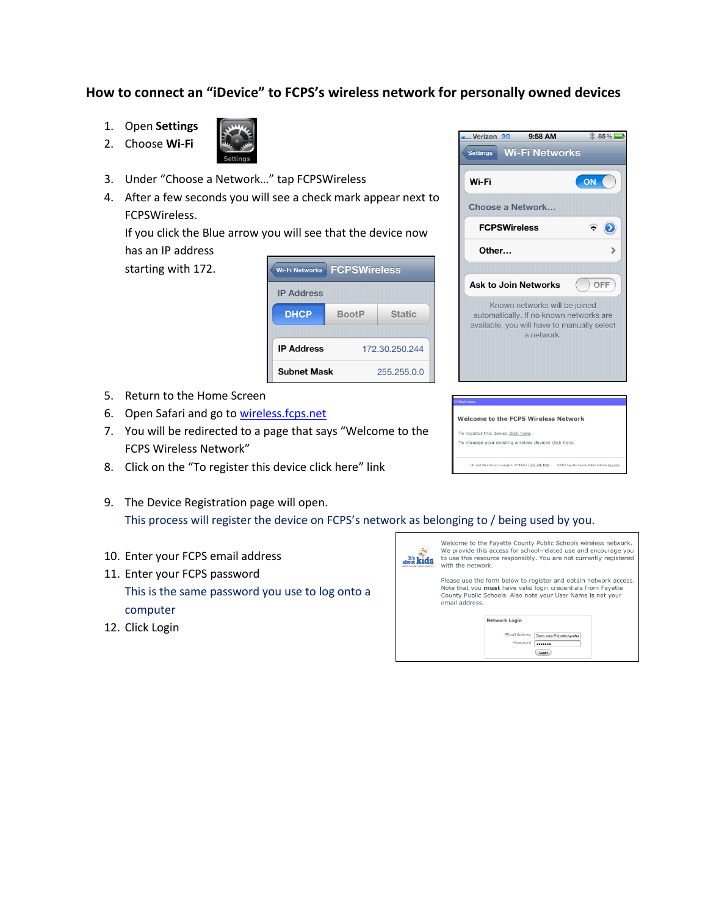## **How to connect an "iDevice" to FCPS's wireless network for personally owned devices**

- 1. Open **Settings**
- 2. Choose **Wi-Fi**



- 3. Under "Choose a Network…" tap FCPSWireless
- 4. After a few seconds you will see a check mark appear next to FCPSWireless.

If you click the Blue arrow you will see that the device now has an IP address

starting with 172.

| <b>FCPSWireless</b><br><b>Wi-Fi Networks</b> |              |                |
|----------------------------------------------|--------------|----------------|
| <b>IP Address</b>                            |              |                |
| <b>DHCP</b>                                  | <b>BootP</b> | <b>Static</b>  |
| <b>IP Address</b>                            |              | 172.30.250.244 |
| <b>Subnet Mask</b>                           |              | 255.255.0.0    |

- 5. Return to the Home Screen
- 6. Open Safari and go to [wireless.fcps.net](http://wireless.fcps.net/)
- 7. You will be redirected to a page that says "Welcome to the FCPS Wireless Network"
- 8. Click on the "To register this device click here" link
- 9. The Device Registration page will open. This process will register the device on FCPS's network as belonging to / being used by you.
- 10. Enter your FCPS email address
- 11. Enter your FCPS password This is the same password you use to log onto a computer
- 12. Click Login



**Welcome to the FCPS Wireless Network** 

To manage your existing wireless devices click here.

To register this device click here.

Please use the form below to register and obtain network access. Note that you must have valid login credentials from Fayette County Public Schools. Also note your User Name is not your email address.







9:58 AM

 $\frac{1}{2}$  85%

Verizon 3G